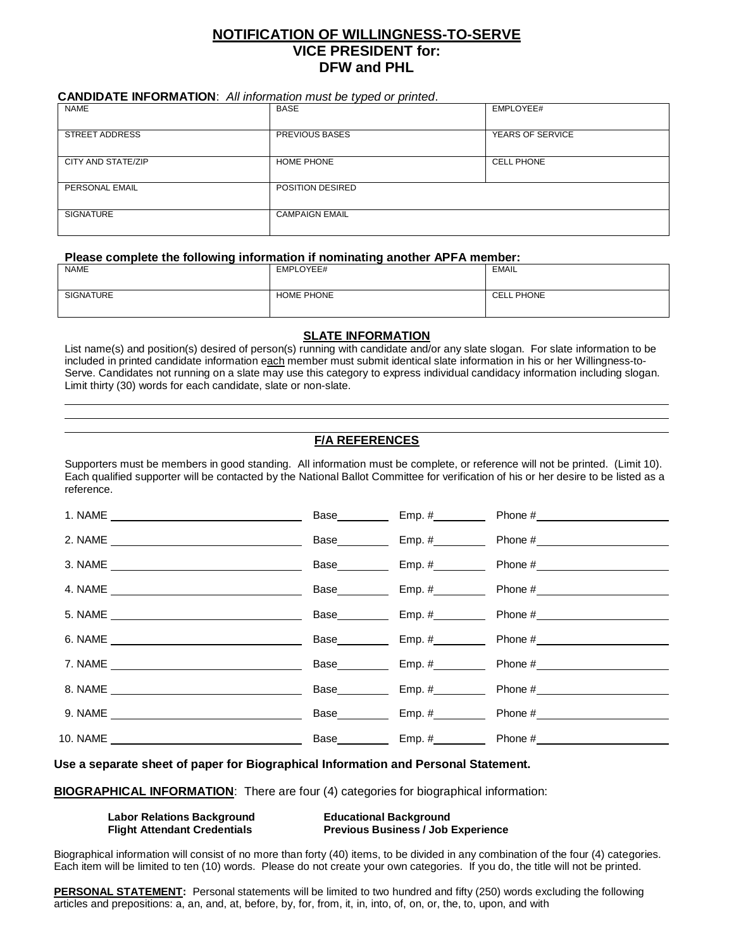# **NOTIFICATION OF WILLINGNESS-TO-SERVE VICE PRESIDENT for: DFW and PHL**

## **CANDIDATE INFORMATION**: *All information must be typed or printed*.

| <b>NAME</b>           | <b>BASE</b>           | EMPLOYEE#         |
|-----------------------|-----------------------|-------------------|
|                       |                       |                   |
| <b>STREET ADDRESS</b> | <b>PREVIOUS BASES</b> | YEARS OF SERVICE  |
| CITY AND STATE/ZIP    | <b>HOME PHONE</b>     | <b>CELL PHONE</b> |
| PERSONAL EMAIL        | POSITION DESIRED      |                   |
| <b>SIGNATURE</b>      | <b>CAMPAIGN EMAIL</b> |                   |

### **Please complete the following information if nominating another APFA member:**

| NAME             | EMPLOYEE#         | EMAIL             |
|------------------|-------------------|-------------------|
| <b>SIGNATURE</b> | <b>HOME PHONE</b> | <b>CELL PHONE</b> |

## **SLATE INFORMATION**

List name(s) and position(s) desired of person(s) running with candidate and/or any slate slogan. For slate information to be included in printed candidate information each member must submit identical slate information in his or her Willingness-to-Serve. Candidates not running on a slate may use this category to express individual candidacy information including slogan. Limit thirty (30) words for each candidate, slate or non-slate.

# **F/A REFERENCES**

Supporters must be members in good standing. All information must be complete, or reference will not be printed. (Limit 10). Each qualified supporter will be contacted by the National Ballot Committee for verification of his or her desire to be listed as a reference.

|  | Base Emp. #        |                     |
|--|--------------------|---------------------|
|  | Base <b>Emp.</b> # |                     |
|  |                    | Base Emp. # Phone # |
|  | Base Emp. #        |                     |
|  |                    | Base Emp. # Phone # |
|  |                    | Base Emp. # Phone # |
|  | Base <b>Emp.</b> # |                     |
|  |                    | Base Emp. # Phone # |
|  |                    | Base Emp. # Phone # |

**Use a separate sheet of paper for Biographical Information and Personal Statement.**

**BIOGRAPHICAL INFORMATION**: There are four (4) categories for biographical information:

| <b>Labor Relations Background</b>   | <b>Educational Background</b>             |
|-------------------------------------|-------------------------------------------|
| <b>Flight Attendant Credentials</b> | <b>Previous Business / Job Experience</b> |

Biographical information will consist of no more than forty (40) items, to be divided in any combination of the four (4) categories. Each item will be limited to ten (10) words. Please do not create your own categories. If you do, the title will not be printed.

**PERSONAL STATEMENT:** Personal statements will be limited to two hundred and fifty (250) words excluding the following articles and prepositions: a, an, and, at, before, by, for, from, it, in, into, of, on, or, the, to, upon, and with